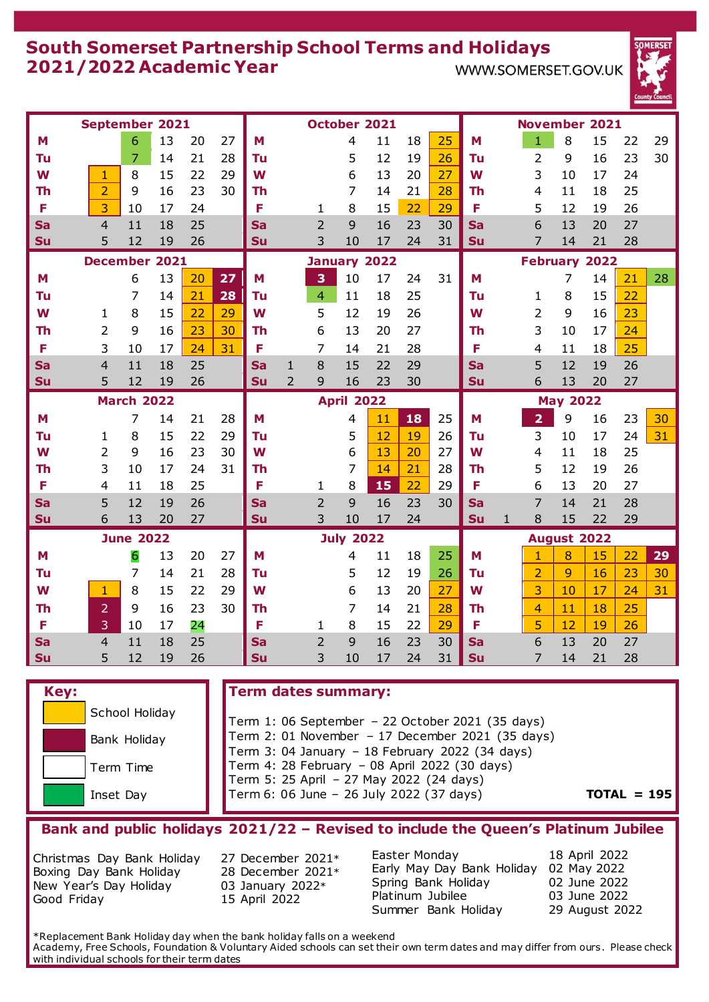#### **South Somerset Partnership School Terms and Holidays 2021/2022 Academic Year** WWW.SOMERSET.GOV.UK



|                   | September 2021       |                  |          |          |    | October 2021 |                |                     |                   |          |          |          |                 | <b>November 2021</b> |                      |                    |          |          |    |  |
|-------------------|----------------------|------------------|----------|----------|----|--------------|----------------|---------------------|-------------------|----------|----------|----------|-----------------|----------------------|----------------------|--------------------|----------|----------|----|--|
| M                 |                      | 6                | 13       | 20       | 27 | М            |                |                     | 4                 | 11       | 18       | 25       | M               |                      | $\mathbf{1}$         | 8                  | 15       | 22       | 29 |  |
| Tu                |                      | $\overline{7}$   | 14       | 21       | 28 | Tu           |                |                     | 5                 | 12       | 19       | 26       | Tu              |                      | 2                    | 9                  | 16       | 23       | 30 |  |
| W                 | 1                    | 8                | 15       | 22       | 29 | W            |                |                     | 6                 | 13       | 20       | 27       | W               |                      | 3                    | 10                 | 17       | 24       |    |  |
| Th                | $\overline{2}$       | 9                | 16       | 23       | 30 | Th           |                |                     | $\overline{7}$    | 14       | 21       | 28       | Th              |                      | 4                    | 11                 | 18       | 25       |    |  |
| F                 | 3                    | 10               | 17       | 24       |    | F            |                | $\mathbf{1}$        | 8                 | 15       | 22       | 29       | F               |                      | 5                    | 12                 | 19       | 26       |    |  |
| <b>Sa</b>         | $\overline{4}$       | 11               | 18       | 25       |    | <b>Sa</b>    |                | $\overline{2}$      | 9                 | 16       | 23       | 30       | <b>Sa</b>       |                      | 6                    | 13                 | 20       | 27       |    |  |
| Su                | 5                    | 12               | 19       | 26       |    | Su           |                | 3                   | 10                | 17       | 24       | 31       | Su              |                      | $\overline{7}$       | 14                 | 21       | 28       |    |  |
|                   | <b>December 2021</b> |                  |          |          |    |              |                |                     | January 2022      |          |          |          |                 |                      | <b>February 2022</b> |                    |          |          |    |  |
| M                 |                      | 6                | 13       | 20       | 27 | M            |                | 3                   | 10                | 17       | 24       | 31       | M               |                      |                      | 7                  | 14       | 21       | 28 |  |
| Tu                |                      | 7                | 14       | 21       | 28 | Tu           |                | $\overline{4}$      | 11                | 18       | 25       |          | Tu              |                      | 1                    | 8                  | 15       | 22       |    |  |
| W                 | 1                    | 8                | 15       | 22       | 29 | W            |                | 5                   | 12                | 19       | 26       |          | W               |                      | 2                    | 9                  | 16       | 23       |    |  |
| Th                | $\overline{2}$       | 9                | 16       | 23       | 30 | <b>Th</b>    |                | 6                   | 13                | 20       | 27       |          | Th              |                      | 3                    | 10                 | 17       | 24       |    |  |
| F                 | 3                    | 10               | 17       | 24       | 31 | F            |                | $\overline{7}$      | 14                | 21       | 28       |          | F               |                      | $\overline{4}$       | 11                 | 18       | 25       |    |  |
| <b>Sa</b>         | $\overline{4}$       | 11               | 18       | 25       |    | <b>Sa</b>    | $\mathbf{1}$   | 8                   | 15                | 22       | 29       |          | <b>Sa</b>       |                      | 5                    | 12                 | 19       | 26       |    |  |
| Su                | 5                    | 12               | 19       | 26       |    | Su           | $\overline{2}$ | 9                   | 16                | 23       | 30       |          | Su              |                      | 6                    | 13                 | 20       | 27       |    |  |
| <b>March 2022</b> |                      |                  |          |          |    |              |                |                     |                   |          |          |          |                 |                      |                      |                    |          |          |    |  |
|                   |                      |                  |          |          |    |              |                |                     | <b>April 2022</b> |          |          |          |                 |                      |                      | <b>May 2022</b>    |          |          |    |  |
| M                 |                      | 7                | 14       | 21       | 28 | M            |                |                     | 4                 | 11       | 18       | 25       | M               |                      | $\overline{2}$       | 9                  | 16       | 23       | 30 |  |
| Tu                | 1                    | 8                | 15       | 22       | 29 | Tu           |                |                     | 5                 | 12       | 19       | 26       | Tu              |                      | 3                    | 10                 | 17       | 24       | 31 |  |
| W                 | $\overline{2}$       | 9                | 16       | 23       | 30 | W            |                |                     | 6                 | 13       | 20       | 27       | W               |                      | $\overline{4}$       | 11                 | 18       | 25       |    |  |
| Th                | 3                    | 10               | 17       | 24       | 31 | Th           |                |                     | $\overline{7}$    | 14       | 21       | 28       | Th              |                      | 5                    | 12                 | 19       | 26       |    |  |
| F                 | 4                    | 11               | 18       | 25       |    | F            |                | 1                   | 8                 | 15       | 22       | 29       | F               |                      | 6                    | 13                 | 20       | 27       |    |  |
| <b>Sa</b>         | 5                    | 12               | 19       | 26       |    | Sa           |                | $\overline{2}$      | 9                 | 16       | 23       | 30       | <b>Sa</b>       |                      | $\overline{7}$       | 14                 | 21       | 28       |    |  |
| Su                | 6                    | 13               | 20       | 27       |    | Su           |                | 3                   | 10                | 17       | 24       |          | Su              | $\mathbf{1}$         | 8                    | 15                 | 22       | 29       |    |  |
|                   |                      | <b>June 2022</b> |          |          |    |              |                |                     | <b>July 2022</b>  |          |          |          |                 |                      |                      | <b>August 2022</b> |          |          |    |  |
| M                 |                      | 6                | 13       | 20       | 27 | M            |                |                     | 4                 | 11       | 18       | 25       | M               |                      | $\mathbf{1}$         | 8                  | 15       | 22       | 29 |  |
| Tu                |                      | $\overline{7}$   | 14       | 21       | 28 | Tu           |                |                     | 5                 | 12       | 19       | 26       | Tu              |                      | $\overline{2}$       | 9                  | 16       | 23       | 30 |  |
| W                 | 1                    | 8                | 15       | 22       | 29 | W            |                |                     | 6                 | 13       | 20       | 27       | W               |                      | 3                    | 10                 | 17       | 24       | 31 |  |
| Th                | $\overline{2}$       | 9                | 16       | 23       | 30 | Th           |                |                     | $\overline{7}$    | 14       | 21       | 28       | <b>Th</b>       |                      | $\overline{4}$       | 11                 | 18       | 25       |    |  |
| F                 | 3                    | 10               | 17       | 24       |    | F            |                | 1                   | 8                 | 15       | 22       | 29       | F               |                      | 5                    | 12                 | 19       | 26       |    |  |
| <b>Sa</b><br>Su   | $\overline{4}$<br>5  | 11<br>12         | 18<br>19 | 25<br>26 |    | Sa<br>Su     |                | $\overline{2}$<br>3 | 9<br>10           | 16<br>17 | 23<br>24 | 30<br>31 | <b>Sa</b><br>Su |                      | 6<br>$\overline{7}$  | 13<br>14           | 20<br>21 | 27<br>28 |    |  |

#### **Key: Term dates summary:**

Term 1: 06 September – 22 October 2021 (35 days) Term 2: 01 November – 17 December 2021 (35 days) Term 3: 04 January – 18 February 2022 (34 days) Term 4: 28 February – 08 April 2022 (30 days) Term 5: 25 April – 27 May 2022 (24 days) Term 6: 06 June – 26 July 2022 (37 days) **TOTAL = 195**

## **Bank and public holidays 2021/22 – Revised to include the Queen's Platinum Jubilee**

Christmas Day Bank Holiday 27 December 2021\* Boxing Day Bank Holiday 28 December 2021\* New Year's Day Holiday 03 January 2022\* Good Friday 15 April 2022

School Holiday

Bank Holiday

Term Time

Inset Day

Easter Monday 18 April 2022 Early May Day Bank Holiday 02 May 2022 Spring Bank Holiday 02 June 2022 Platinum Jubilee 03 June 2022 Summer Bank Holiday 29 August 2022

\*Replacement Bank Holiday day when the bank holiday falls on a weekend Academy, Free Schools, Foundation & Voluntary Aided schools can set their own term dates and may differ from ours. Please check with individual schools for their term dates